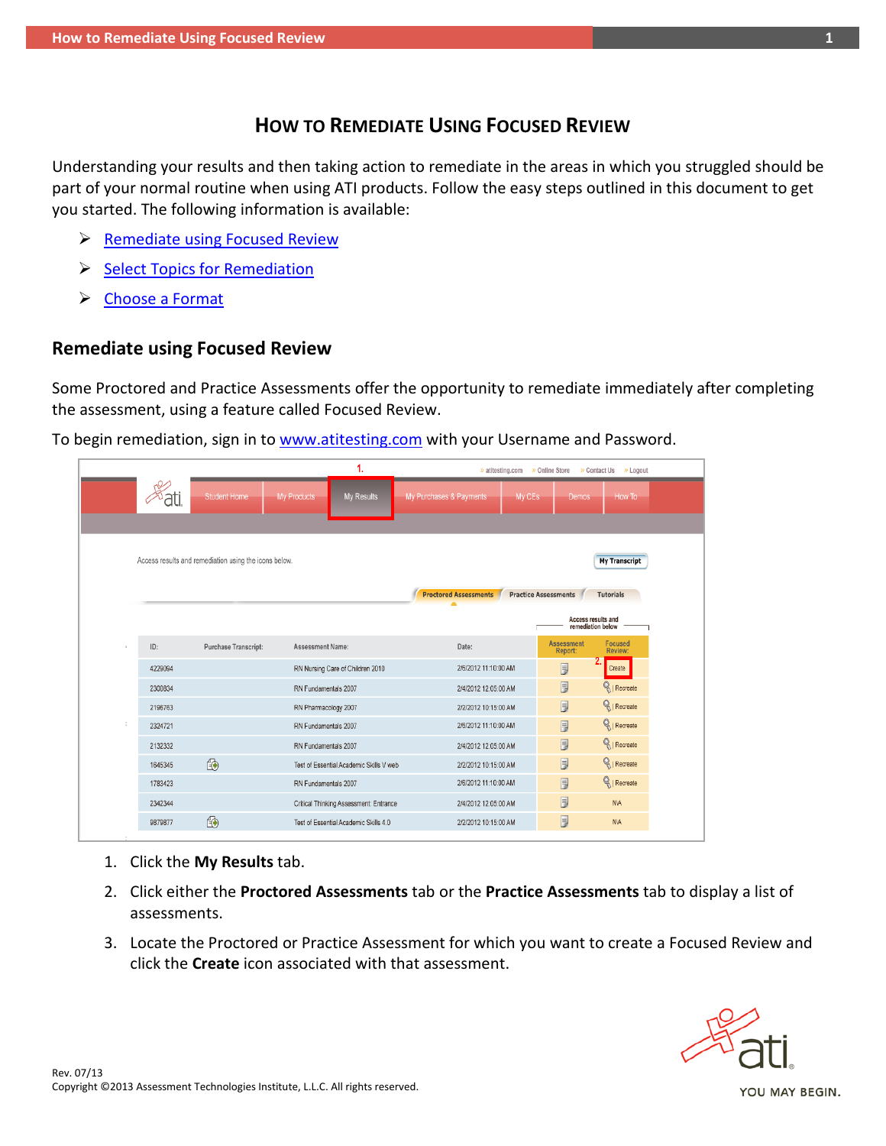## **HOW TO REMEDIATE USING FOCUSED REVIEW**

Understanding your results and then taking action to remediate in the areas in which you struggled should be part of your normal routine when using ATI products. Follow the easy steps outlined in this document to get you started. The following information is available:

- $\triangleright$  [Remediate using Focused Review](#page-0-0)
- [Select Topics for Remediation](#page-1-0)
- [Choose a](#page-1-1) Format

## <span id="page-0-0"></span>**Remediate using Focused Review**

Some Proctored and Practice Assessments offer the opportunity to remediate immediately after completing the assessment, using a feature called Focused Review.

To begin remediation, sign in to [www.atitesting.com](http://www.atitesting.com/) with your Username and Password.

|                                                                               |                      |                         | 1.                                      | >> atitesting.com >> Online Store >> Contact Us >> Logout |                             |                              |                    |
|-------------------------------------------------------------------------------|----------------------|-------------------------|-----------------------------------------|-----------------------------------------------------------|-----------------------------|------------------------------|--------------------|
|                                                                               | <b>Student Home</b>  | My Products             | My Results                              | My Purchases & Payments                                   | My CEs                      | Demos                        | How To             |
|                                                                               |                      |                         |                                         |                                                           |                             |                              |                    |
|                                                                               |                      |                         |                                         |                                                           |                             |                              |                    |
| Access results and remediation using the icons below.<br><b>My Transcript</b> |                      |                         |                                         |                                                           |                             |                              |                    |
|                                                                               |                      |                         |                                         | <b>Proctored Assessments</b>                              | <b>Practice Assessments</b> |                              | <b>Tutorials</b>   |
| Access results and                                                            |                      |                         |                                         |                                                           |                             |                              |                    |
|                                                                               |                      |                         |                                         |                                                           |                             | remediation below            |                    |
| ID:                                                                           | Purchase Transcript: | <b>Assessment Name:</b> |                                         | Date:                                                     |                             | <b>Assessment</b><br>Report: | Focused<br>Review: |
| 4229094                                                                       |                      |                         | RN Nursing Care of Children 2010        | 2/6/2012 11:10:00 AM                                      |                             | 厚                            | Create             |
| 2300834                                                                       |                      | RN Fundamentals 2007    |                                         | 2/4/2012 12:05:00 AM                                      |                             | $\overline{5}$               | Recreate           |
| 2196763                                                                       |                      | RN Pharmacology 2007    |                                         | 2/2/2012 10:15:00 AM                                      |                             | $\overline{5}$               | Recreate           |
| 2324721                                                                       |                      | RN Fundamentals 2007    |                                         | 2/6/2012 11:10:00 AM                                      |                             | $\overline{5}$               | Recreate           |
| 2132332                                                                       |                      | RN Fundamentals 2007    |                                         | 2/4/2012 12:05:00 AM                                      |                             | $\overline{5}$               | Recreate           |
| 1645345                                                                       | 10                   |                         | Test of Essential Academic Skills V web | 2/2/2012 10:15:00 AM                                      |                             | $\overline{y}$               | Recreate           |
| 1783423                                                                       |                      | RN Fundamentals 2007    |                                         | 2/6/2012 11:10:00 AM                                      |                             | 厚                            | Recreate           |
| 2342344                                                                       |                      |                         | Critical Thinking Assessment: Entrance  | 2/4/2012 12:05:00 AM                                      |                             | 厚                            | <b>NIA</b>         |
| 9879877                                                                       | 10                   |                         | Test of Essential Academic Skills 4.0   | 2/2/2012 10:15:00 AM                                      |                             | 厚                            | <b>NVA</b>         |
|                                                                               |                      |                         |                                         |                                                           |                             |                              |                    |

- 1. Click the **My Results** tab.
- 2. Click either the **Proctored Assessments** tab or the **Practice Assessments** tab to display a list of assessments.
- 3. Locate the Proctored or Practice Assessment for which you want to create a Focused Review and click the **Create** icon associated with that assessment.

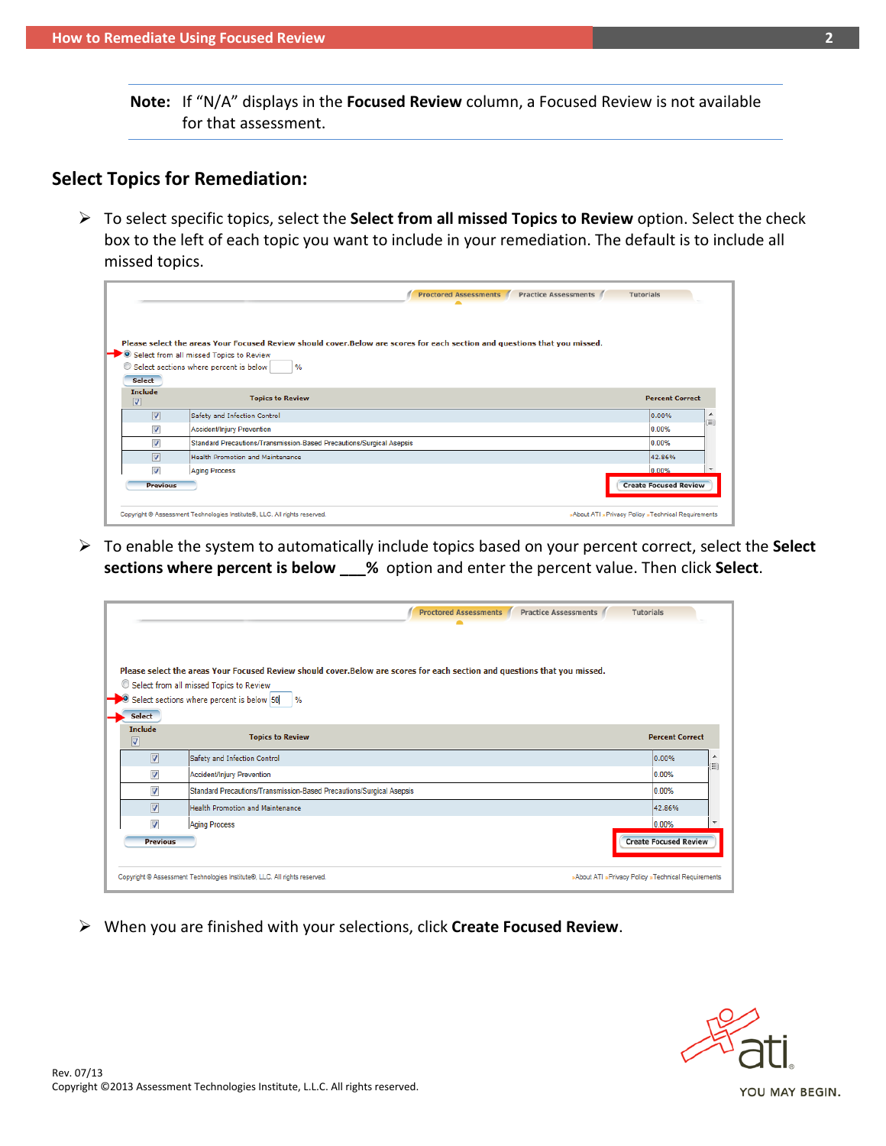**Note:** If "N/A" displays in the **Focused Review** column, a Focused Review is not available for that assessment.

# <span id="page-1-0"></span>**Select Topics for Remediation:**

 To select specific topics, select the **Select from all missed Topics to Review** option. Select the check box to the left of each topic you want to include in your remediation. The default is to include all missed topics.

|                                           | <b>Proctored Assessments</b>                                                                                              | <b>Practice Assessments</b><br><b>Tutorials</b>    |
|-------------------------------------------|---------------------------------------------------------------------------------------------------------------------------|----------------------------------------------------|
|                                           |                                                                                                                           |                                                    |
|                                           | Please select the areas Your Focused Review should cover.Below are scores for each section and questions that you missed. |                                                    |
|                                           | Select from all missed Topics to Review                                                                                   |                                                    |
|                                           | Select sections where percent is below<br>$\%$                                                                            |                                                    |
| Select                                    |                                                                                                                           |                                                    |
| <b>Include</b><br>$\overline{\mathsf{v}}$ | <b>Topics to Review</b>                                                                                                   | <b>Percent Correct</b>                             |
| $\overline{v}$                            | Safety and Infection Control                                                                                              | 0.00%                                              |
| $\overline{\mathcal{A}}$                  | Accident/Injury Prevention                                                                                                | 0.00%                                              |
| $\overline{\mathcal{A}}$                  | Standard Precautions/Transmission-Based Precautions/Surgical Asepsis                                                      | 0.00%                                              |
| $\overline{\mathbf{v}}$                   | <b>Health Promotion and Maintenance</b>                                                                                   | 42.86%                                             |
| $\overline{\mathcal{L}}$                  | <b>Aging Process</b>                                                                                                      | 0.00%                                              |
| <b>Previous</b>                           |                                                                                                                           | <b>Create Focused Review</b>                       |
|                                           | Copyright @ Assessment Technologies Institute®, LLC. All rights reserved.                                                 | »About ATI »Privacy Policy »Technical Requirements |

 To enable the system to automatically include topics based on your percent correct, select the **Select sections where percent is below \_\_\_%** option and enter the percent value. Then click **Select**.

|                                                     | <b>Proctored Assessments</b><br>Practice Assessments /                                                                                                                                                                             | <b>Tutorials</b>                                   |         |
|-----------------------------------------------------|------------------------------------------------------------------------------------------------------------------------------------------------------------------------------------------------------------------------------------|----------------------------------------------------|---------|
|                                                     | Please select the areas Your Focused Review should cover.Below are scores for each section and questions that you missed.<br>Select from all missed Topics to Review<br>Select sections where percent is below 50<br>$\frac{9}{6}$ |                                                    |         |
| Select<br><b>Include</b><br>$\overline{\mathsf{v}}$ | <b>Topics to Review</b>                                                                                                                                                                                                            | <b>Percent Correct</b>                             |         |
| $\overline{v}$                                      | Safety and Infection Control                                                                                                                                                                                                       | 0.00%                                              | ٠<br>Ξì |
| $\overline{\mathsf{v}}$                             | Accident/Injury Prevention                                                                                                                                                                                                         | 0.00%                                              |         |
| $\overline{\mathsf{v}}$                             | Standard Precautions/Transmission-Based Precautions/Surgical Asepsis                                                                                                                                                               | 0.00%                                              |         |
| $\overline{v}$                                      | <b>Health Promotion and Maintenance</b>                                                                                                                                                                                            | 42.86%                                             |         |
| $\overline{\mathbf{v}}$                             | <b>Aging Process</b>                                                                                                                                                                                                               | 0.00%                                              |         |
| <b>Previous</b>                                     |                                                                                                                                                                                                                                    | <b>Create Focused Review</b>                       |         |
|                                                     | Copyright @ Assessment Technologies Institute®, LLC. All rights reserved.                                                                                                                                                          | »About ATI »Privacy Policy »Technical Requirements |         |

<span id="page-1-1"></span>When you are finished with your selections, click **Create Focused Review**.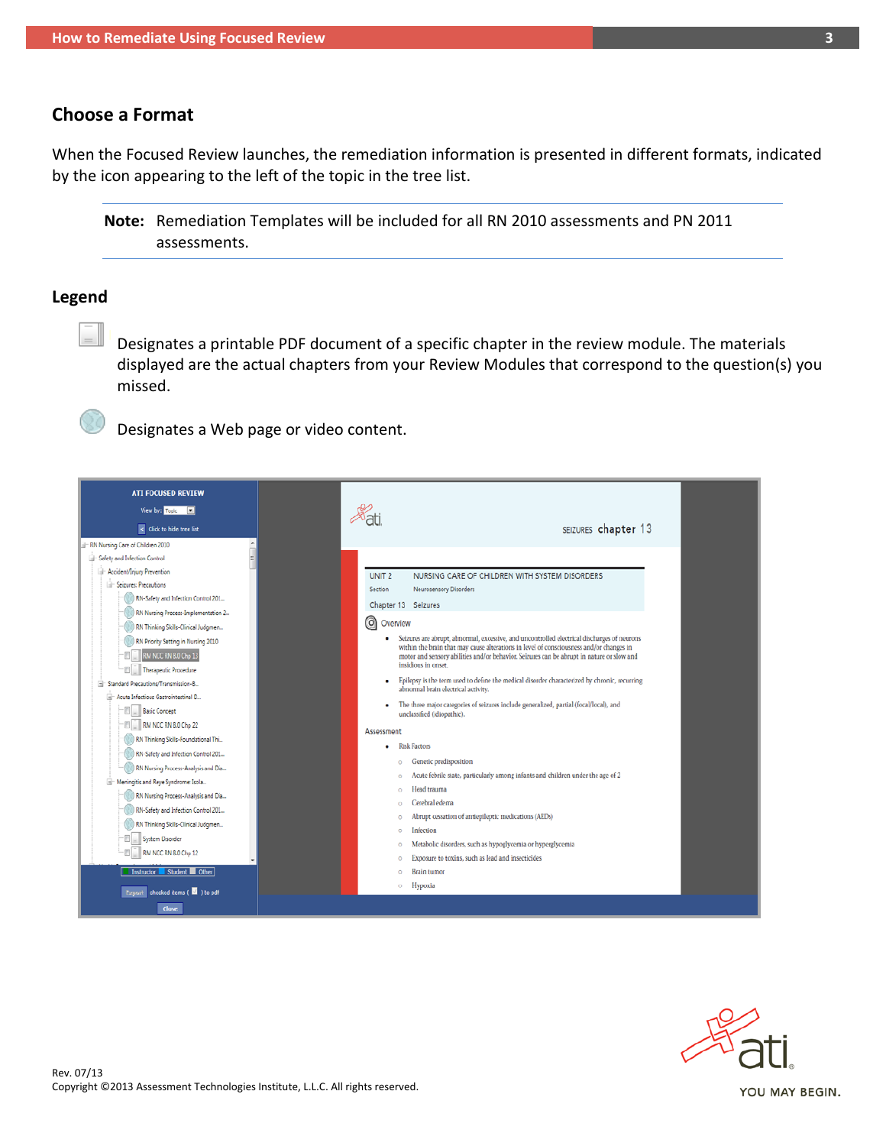### **Choose a Format**

When the Focused Review launches, the remediation information is presented in different formats, indicated by the icon appearing to the left of the topic in the tree list.

**Note:** Remediation Templates will be included for all RN 2010 assessments and PN 2011 assessments.

#### **Legend**

Designates a printable PDF document of a specific chapter in the review module. The materials displayed are the actual chapters from your Review Modules that correspond to the question(s) you missed.

Designates a Web page or video content.